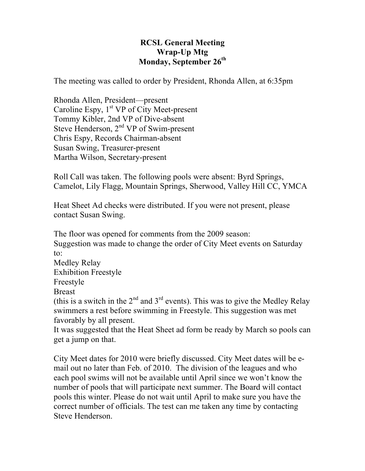## **RCSL General Meeting Wrap-Up Mtg Monday, September 26th**

The meeting was called to order by President, Rhonda Allen, at 6:35pm

Rhonda Allen, President—present Caroline Espy,  $1<sup>st</sup> VP$  of City Meet-present Tommy Kibler, 2nd VP of Dive-absent Steve Henderson,  $2<sup>nd</sup> VP$  of Swim-present Chris Espy, Records Chairman-absent Susan Swing, Treasurer-present Martha Wilson, Secretary-present

Roll Call was taken. The following pools were absent: Byrd Springs, Camelot, Lily Flagg, Mountain Springs, Sherwood, Valley Hill CC, YMCA

Heat Sheet Ad checks were distributed. If you were not present, please contact Susan Swing.

The floor was opened for comments from the 2009 season:

Suggestion was made to change the order of City Meet events on Saturday to:

Medley Relay

Exhibition Freestyle

Freestyle

Breast

(this is a switch in the  $2<sup>nd</sup>$  and  $3<sup>rd</sup>$  events). This was to give the Medley Relay swimmers a rest before swimming in Freestyle. This suggestion was met favorably by all present.

It was suggested that the Heat Sheet ad form be ready by March so pools can get a jump on that.

City Meet dates for 2010 were briefly discussed. City Meet dates will be email out no later than Feb. of 2010. The division of the leagues and who each pool swims will not be available until April since we won't know the number of pools that will participate next summer. The Board will contact pools this winter. Please do not wait until April to make sure you have the correct number of officials. The test can me taken any time by contacting Steve Henderson.